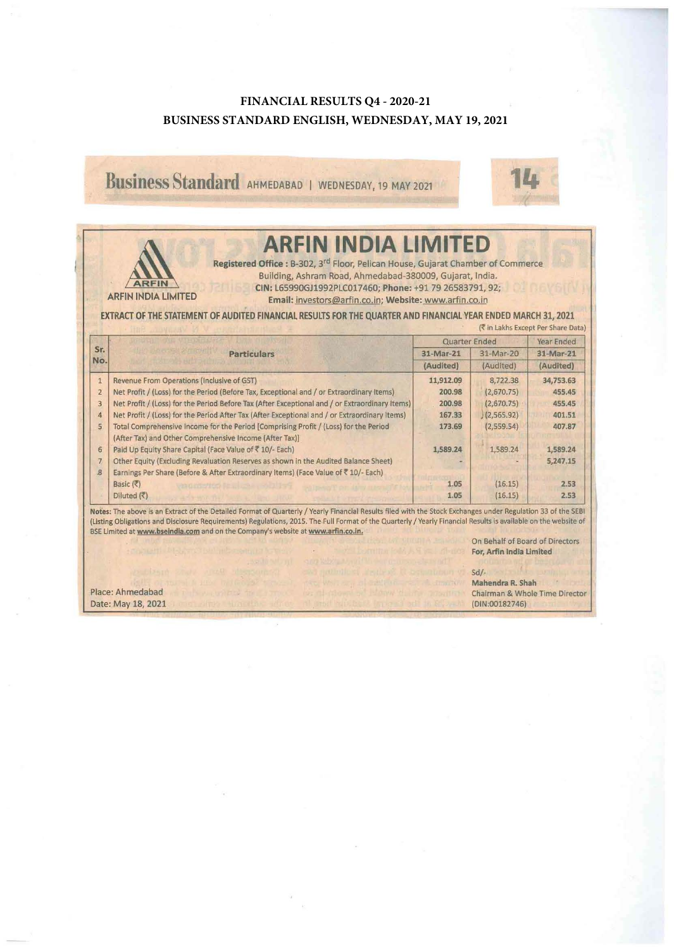## **FINANCIAL RESULTS Q4 - 2020-21 BUSINESS STANDARD ENGLISH, WEDNESDAY, MAY 19, 2021**

Business Standard AHMEDABAD 1 WEDNESDAY, 19 MAY 2021



|                                                                                                                                                     | <b>ARFIN INDIA LIMITED</b><br>Registered Office : B-302, 3 <sup>rd</sup> Floor, Pelican House, Gujarat Chamber of Commerce<br>Building, Ashram Road, Ahmedabad-380009, Gujarat, India.<br><b>ARFIN</b><br>CIN: L65990GJ1992PLC017460; Phone: +91 79 26583791, 92;<br><b>ARFIN INDIA LIMITED</b><br>Email: investors@arfin.co.in; Website: www.arfin.co.in |                      |            |            |  |  |  |
|-----------------------------------------------------------------------------------------------------------------------------------------------------|-----------------------------------------------------------------------------------------------------------------------------------------------------------------------------------------------------------------------------------------------------------------------------------------------------------------------------------------------------------|----------------------|------------|------------|--|--|--|
| EXTRACT OF THE STATEMENT OF AUDITED FINANCIAL RESULTS FOR THE QUARTER AND FINANCIAL YEAR ENDED MARCH 31, 2021<br>(₹ in Lakhs Except Per Share Data) |                                                                                                                                                                                                                                                                                                                                                           |                      |            |            |  |  |  |
|                                                                                                                                                     | <b>Particulars</b>                                                                                                                                                                                                                                                                                                                                        | <b>Quarter Ended</b> |            | Year Ended |  |  |  |
| Sr.                                                                                                                                                 |                                                                                                                                                                                                                                                                                                                                                           | 31-Mar-21            | 31-Mar-20  | 31-Mar-21  |  |  |  |
| No.                                                                                                                                                 |                                                                                                                                                                                                                                                                                                                                                           | (Audited)            | (Audited)  | (Audited)  |  |  |  |
| $\mathbf{1}$                                                                                                                                        | <b>Revenue From Operations (Inclusive of GST)</b>                                                                                                                                                                                                                                                                                                         | 11,912.09            | 8,722.38   | 34,753.63  |  |  |  |
| $\overline{2}$                                                                                                                                      | Net Profit / (Loss) for the Period (Before Tax, Exceptional and / or Extraordinary Items)                                                                                                                                                                                                                                                                 | 200.98               | (2,670.75) | 455.45     |  |  |  |
| 3                                                                                                                                                   | Net Profit / (Loss) for the Period Before Tax (After Exceptional and / or Extraordinary Items)                                                                                                                                                                                                                                                            | 200.98               | (2,670.75) | 455.45     |  |  |  |
| $\overline{a}$                                                                                                                                      | Net Profit / (Loss) for the Period After Tax (After Exceptional and / or Extraordinary Items)                                                                                                                                                                                                                                                             | 167.33               | (2,565.92) | 401.51     |  |  |  |
| 5                                                                                                                                                   | Total Comprehensive Income for the Period [Comprising Profit / (Loss) for the Period<br>(After Tax) and Other Comprehensive Income (After Tax)]                                                                                                                                                                                                           | 173.69               | (2,559.54) | 407.87     |  |  |  |
| 6                                                                                                                                                   | Paid Up Equity Share Capital (Face Value of ₹ 10/- Each)                                                                                                                                                                                                                                                                                                  | 1,589.24             | 1,589.24   | 1,589.24   |  |  |  |
| $\overline{7}$<br>$\mathbf{s}$                                                                                                                      | Other Equity (Excluding Revaluation Reserves as shown in the Audited Balance Sheet)<br>Earnings Per Share (Before & After Extraordinary Items) (Face Value of ₹10/- Each)                                                                                                                                                                                 |                      |            | 5,247.15   |  |  |  |
|                                                                                                                                                     | Basic (₹)                                                                                                                                                                                                                                                                                                                                                 | 1.05                 | (16.15)    | 2.53       |  |  |  |
|                                                                                                                                                     | Diluted $(\overline{\zeta})$                                                                                                                                                                                                                                                                                                                              | 1.05                 | (16.15)    | 2.53       |  |  |  |

On Behalf of Board of Directors For, Arfin India Limited

Sd/-

Place: Ahmedabad Date: May 18, 2021 Mahendra R. Shah Chairman & Whole Time Director (DIN:00182746)